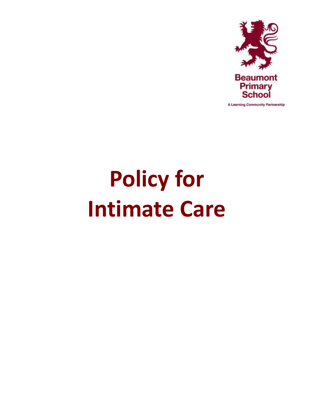

A Learning Community Partnership

# **Policy for Intimate Care**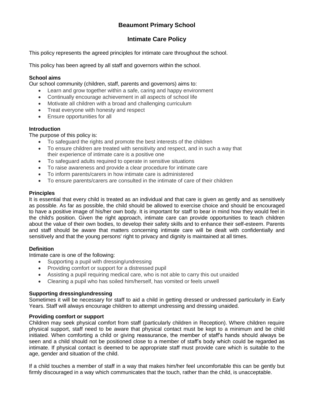# **Beaumont Primary School**

## **Intimate Care Policy**

This policy represents the agreed principles for intimate care throughout the school.

This policy has been agreed by all staff and governors within the school.

#### **School aims**

Our school community (children, staff, parents and governors) aims to:

- Learn and grow together within a safe, caring and happy environment
- Continually encourage achievement in all aspects of school life
- Motivate all children with a broad and challenging curriculum
- Treat everyone with honesty and respect
- Ensure opportunities for all

#### **Introduction**

The purpose of this policy is:

- To safeguard the rights and promote the best interests of the children
- To ensure children are treated with sensitivity and respect, and in such a way that their experience of intimate care is a positive one
- To safeguard adults required to operate in sensitive situations
- To raise awareness and provide a clear procedure for intimate care
- To inform parents/carers in how intimate care is administered
- To ensure parents/carers are consulted in the intimate of care of their children

#### **Principles**

It is essential that every child is treated as an individual and that care is given as gently and as sensitively as possible. As far as possible, the child should be allowed to exercise choice and should be encouraged to have a positive image of his/her own body. It is important for staff to bear in mind how they would feel in the child's position. Given the right approach, intimate care can provide opportunities to teach children about the value of their own bodies, to develop their safety skills and to enhance their self-esteem. Parents and staff should be aware that matters concerning intimate care will be dealt with confidentially and sensitively and that the young persons' right to privacy and dignity is maintained at all times.

#### **Definition**

Intimate care is one of the following:

- Supporting a pupil with dressing/undressing
- Providing comfort or support for a distressed pupil
- Assisting a pupil requiring medical care, who is not able to carry this out unaided
- Cleaning a pupil who has soiled him/herself, has vomited or feels unwell

#### **Supporting dressing/undressing**

Sometimes it will be necessary for staff to aid a child in getting dressed or undressed particularly in Early Years. Staff will always encourage children to attempt undressing and dressing unaided.

#### **Providing comfort or support**

Children may seek physical comfort from staff (particularly children in Reception). Where children require physical support, staff need to be aware that physical contact must be kept to a minimum and be child initiated. When comforting a child or giving reassurance, the member of staff's hands should always be seen and a child should not be positioned close to a member of staff's body which could be regarded as intimate. If physical contact is deemed to be appropriate staff must provide care which is suitable to the age, gender and situation of the child.

If a child touches a member of staff in a way that makes him/her feel uncomfortable this can be gently but firmly discouraged in a way which communicates that the touch, rather than the child, is unacceptable.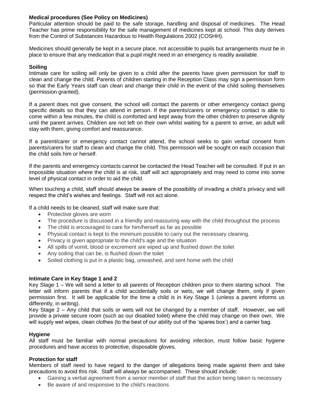#### **Medical procedures (See Policy on Medicines)**

Particular attention should be paid to the safe storage, handling and disposal of medicines. The Head Teacher has prime responsibility for the safe management of medicines kept at school. This duty derives from the Control of Substances Hazardous to Health Regulations 2002 (COSHH).

Medicines should generally be kept in a secure place, not accessible to pupils but arrangements must be in place to ensure that any medication that a pupil might need in an emergency is readily available.

#### **Soiling**

Intimate care for soiling will only be given to a child after the parents have given permission for staff to clean and change the child. Parents of children starting in the Reception Class may sign a permission form so that the Early Years staff can clean and change their child in the event of the child soiling themselves (permission granted).

If a parent does not give consent, the school will contact the parents or other emergency contact giving specific details so that they can attend in person. If the parents/carers or emergency contact is able to come within a few minutes, the child is comforted and kept away from the other children to preserve dignity until the parent arrives. Children are not left on their own whilst waiting for a parent to arrive, an adult will stay with them, giving comfort and reassurance.

If a parent/carer or emergency contact cannot attend, the school seeks to gain verbal consent from parents/carers for staff to clean and change the child. This permission will be sought on each occasion that the child soils him or herself.

If the parents and emergency contacts cannot be contacted the Head Teacher will be consulted. If put in an impossible situation where the child is at risk, staff will act appropriately and may need to come into some level of physical contact in order to aid the child.

When touching a child, staff should always be aware of the possibility of invading a child's privacy and will respect the child's wishes and feelings. Staff will not act alone.

If a child needs to be cleaned, staff will make sure that:

- Protective gloves are worn
- The procedure is discussed in a friendly and reassuring way with the child throughout the process
- The child is encouraged to care for him/herself as far as possible
- Physical contact is kept to the minimum possible to carry out the necessary cleaning.
- Privacy is given appropriate to the child's age and the situation
- All spills of vomit, blood or excrement are wiped up and flushed down the toilet
- Any soiling that can be, is flushed down the toilet
- Soiled clothing is put in a plastic bag, unwashed, and sent home with the child

#### **Intimate Care in Key Stage 1 and 2**

Key Stage 1 – We will send a letter to all parents of Reception children prior to them starting school. The letter will inform parents that if a child accidentally soils or wets, we will change them, only if given permission first. It will be applicable for the time a child is in Key Stage 1 (unless a parent informs us differently, in writing).

Key Stage 2 – Any child that soils or wets will not be changed by a member of staff. However, we will provide a private secure room (such as our disabled toilet) where the child may change on their own. We will supply wet wipes, clean clothes (to the best of our ability out of the 'spares box') and a carrier bag.

#### **Hygiene**

All staff must be familiar with normal precautions for avoiding infection, must follow basic hygiene procedures and have access to protective, disposable gloves.

#### **Protection for staff**

Members of staff need to have regard to the danger of allegations being made against them and take precautions to avoid this risk. Staff will always be accompanied. These should include:

- Gaining a verbal agreement from a senior member of staff that the action being taken is necessary
- Be aware of and responsive to the child's reactions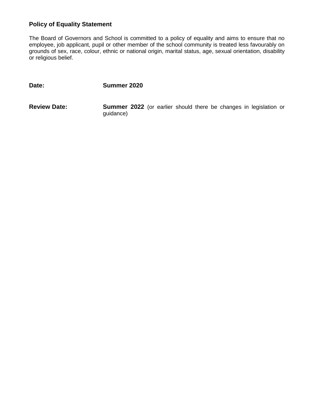## **Policy of Equality Statement**

The Board of Governors and School is committed to a policy of equality and aims to ensure that no employee, job applicant, pupil or other member of the school community is treated less favourably on grounds of sex, race, colour, ethnic or national origin, marital status, age, sexual orientation, disability or religious belief.

**Date: Summer 2020**

**Review Date: Summer 2022** (or earlier should there be changes in legislation or guidance)